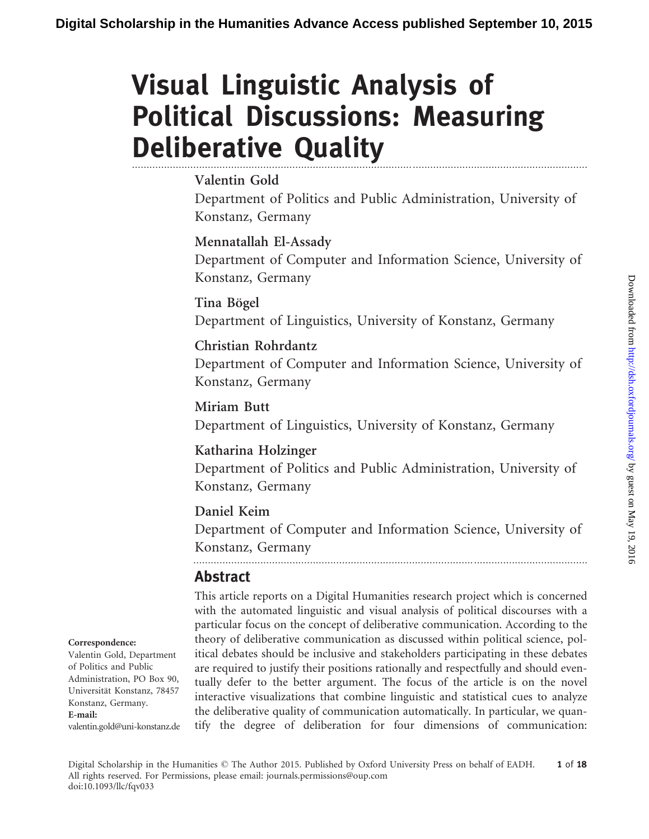# Visual Linguistic Analysis of Political Discussions: Measuring **Deliberative Quality**

## Valentin Gold

Department of Politics and Public Administration, University of Konstanz, Germany

#### Mennatallah El-Assady

Department of Computer and Information Science, University of Konstanz, Germany

Tina Bögel Department of Linguistics, University of Konstanz, Germany

## Christian Rohrdantz

Department of Computer and Information Science, University of Konstanz, Germany

Miriam Butt Department of Linguistics, University of Konstanz, Germany

## Katharina Holzinger

Department of Politics and Public Administration, University of Konstanz, Germany

## Daniel Keim

Department of Computer and Information Science, University of Konstanz, Germany .......................................................................................................................................

## Abstract

This article reports on a Digital Humanities research project which is concerned with the automated linguistic and visual analysis of political discourses with a particular focus on the concept of deliberative communication. According to the theory of deliberative communication as discussed within political science, political debates should be inclusive and stakeholders participating in these debates are required to justify their positions rationally and respectfully and should eventually defer to the better argument. The focus of the article is on the novel interactive visualizations that combine linguistic and statistical cues to analyze the deliberative quality of communication automatically. In particular, we quantify the degree of deliberation for four dimensions of communication:

#### Correspondence:

Valentin Gold, Department of Politics and Public Administration, PO Box 90, Universität Konstanz, 78457 Konstanz, Germany. E-mail: valentin.gold@uni-konstanz.de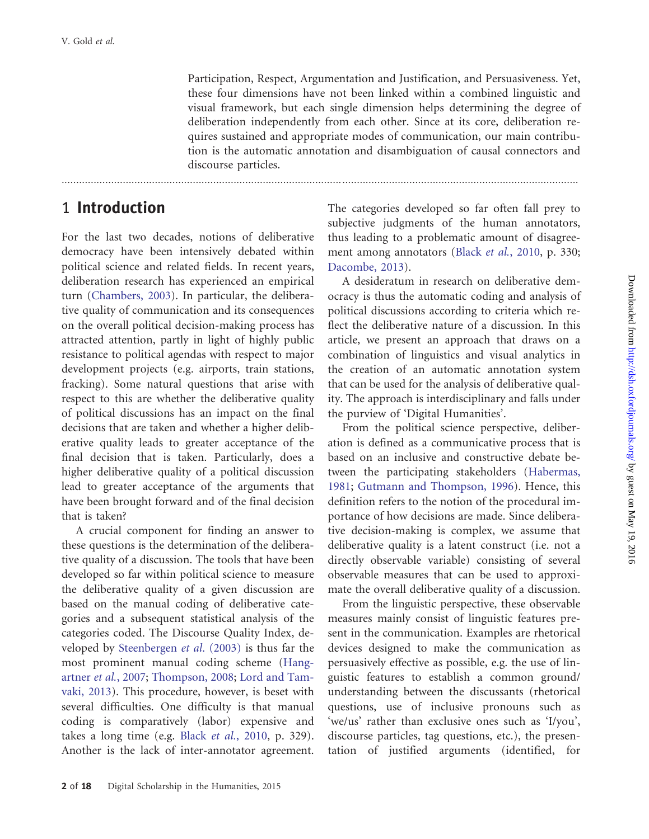Participation, Respect, Argumentation and Justification, and Persuasiveness. Yet, these four dimensions have not been linked within a combined linguistic and visual framework, but each single dimension helps determining the degree of deliberation independently from each other. Since at its core, deliberation requires sustained and appropriate modes of communication, our main contribution is the automatic annotation and disambiguation of causal connectors and discourse particles.

.................................................................................................................................................................................

## 1 Introduction

For the last two decades, notions of deliberative democracy have been intensively debated within political science and related fields. In recent years, deliberation research has experienced an empirical turn ([Chambers, 2003\)](#page-15-0). In particular, the deliberative quality of communication and its consequences on the overall political decision-making process has attracted attention, partly in light of highly public resistance to political agendas with respect to major development projects (e.g. airports, train stations, fracking). Some natural questions that arise with respect to this are whether the deliberative quality of political discussions has an impact on the final decisions that are taken and whether a higher deliberative quality leads to greater acceptance of the final decision that is taken. Particularly, does a higher deliberative quality of a political discussion lead to greater acceptance of the arguments that have been brought forward and of the final decision that is taken?

A crucial component for finding an answer to these questions is the determination of the deliberative quality of a discussion. The tools that have been developed so far within political science to measure the deliberative quality of a given discussion are based on the manual coding of deliberative categories and a subsequent statistical analysis of the categories coded. The Discourse Quality Index, developed by [Steenbergen](#page-17-0) et al. (2003) is thus far the most prominent manual coding scheme [\(Hang](#page-16-0)[artner](#page-16-0) et al., 2007; [Thompson, 2008](#page-17-0); [Lord and Tam](#page-16-0)[vaki, 2013\)](#page-16-0). This procedure, however, is beset with several difficulties. One difficulty is that manual coding is comparatively (labor) expensive and takes a long time (e.g. Black et al.[, 2010,](#page-15-0) p. 329). Another is the lack of inter-annotator agreement.

The categories developed so far often fall prey to subjective judgments of the human annotators, thus leading to a problematic amount of disagree-ment among annotators (Black et al.[, 2010](#page-15-0), p. 330; [Dacombe, 2013](#page-15-0)). A desideratum in research on deliberative dem-

ocracy is thus the automatic coding and analysis of political discussions according to criteria which reflect the deliberative nature of a discussion. In this article, we present an approach that draws on a combination of linguistics and visual analytics in the creation of an automatic annotation system that can be used for the analysis of deliberative quality. The approach is interdisciplinary and falls under the purview of 'Digital Humanities'.

From the political science perspective, deliberation is defined as a communicative process that is based on an inclusive and constructive debate between the participating stakeholders ([Habermas,](#page-16-0) [1981](#page-16-0); [Gutmann and Thompson, 1996\)](#page-16-0). Hence, this definition refers to the notion of the procedural importance of how decisions are made. Since deliberative decision-making is complex, we assume that deliberative quality is a latent construct (i.e. not a directly observable variable) consisting of several observable measures that can be used to approximate the overall deliberative quality of a discussion.

From the linguistic perspective, these observable measures mainly consist of linguistic features present in the communication. Examples are rhetorical devices designed to make the communication as persuasively effective as possible, e.g. the use of linguistic features to establish a common ground/ understanding between the discussants (rhetorical questions, use of inclusive pronouns such as 'we/us' rather than exclusive ones such as 'I/you', discourse particles, tag questions, etc.), the presentation of justified arguments (identified, for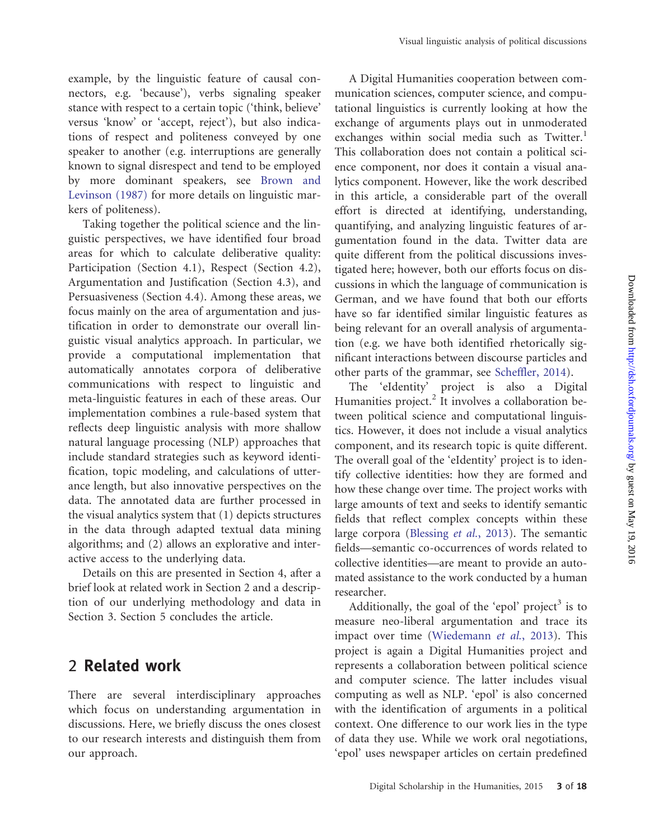example, by the linguistic feature of causal connectors, e.g. 'because'), verbs signaling speaker stance with respect to a certain topic ('think, believe' versus 'know' or 'accept, reject'), but also indications of respect and politeness conveyed by one speaker to another (e.g. interruptions are generally known to signal disrespect and tend to be employed by more dominant speakers, see [Brown and](#page-15-0) [Levinson \(1987\)](#page-15-0) for more details on linguistic markers of politeness).

Taking together the political science and the linguistic perspectives, we have identified four broad areas for which to calculate deliberative quality: Participation (Section 4.1), Respect (Section 4.2), Argumentation and Justification (Section 4.3), and Persuasiveness (Section 4.4). Among these areas, we focus mainly on the area of argumentation and justification in order to demonstrate our overall linguistic visual analytics approach. In particular, we provide a computational implementation that automatically annotates corpora of deliberative communications with respect to linguistic and meta-linguistic features in each of these areas. Our implementation combines a rule-based system that reflects deep linguistic analysis with more shallow natural language processing (NLP) approaches that include standard strategies such as keyword identification, topic modeling, and calculations of utterance length, but also innovative perspectives on the data. The annotated data are further processed in the visual analytics system that (1) depicts structures in the data through adapted textual data mining algorithms; and (2) allows an explorative and interactive access to the underlying data.

Details on this are presented in Section 4, after a brief look at related work in Section 2 and a description of our underlying methodology and data in Section 3. Section 5 concludes the article.

## 2 Related work

There are several interdisciplinary approaches which focus on understanding argumentation in discussions. Here, we briefly discuss the ones closest to our research interests and distinguish them from our approach.

A Digital Humanities cooperation between communication sciences, computer science, and computational linguistics is currently looking at how the exchange of arguments plays out in unmoderated exchanges within social media such as Twitter.<sup>1</sup> This collaboration does not contain a political science component, nor does it contain a visual analytics component. However, like the work described in this article, a considerable part of the overall effort is directed at identifying, understanding, quantifying, and analyzing linguistic features of argumentation found in the data. Twitter data are quite different from the political discussions investigated here; however, both our efforts focus on discussions in which the language of communication is German, and we have found that both our efforts have so far identified similar linguistic features as being relevant for an overall analysis of argumentation (e.g. we have both identified rhetorically significant interactions between discourse particles and other parts of the grammar, see [Scheffler, 2014](#page-16-0)).

The 'eIdentity' project is also a Digital Humanities project. $2$  It involves a collaboration between political science and computational linguistics. However, it does not include a visual analytics component, and its research topic is quite different. The overall goal of the 'eIdentity' project is to identify collective identities: how they are formed and how these change over time. The project works with large amounts of text and seeks to identify semantic fields that reflect complex concepts within these large corpora [\(Blessing](#page-15-0) et al., 2013). The semantic fields—semantic co-occurrences of words related to collective identities—are meant to provide an automated assistance to the work conducted by a human researcher.

Additionally, the goal of the 'epol' project<sup>3</sup> is to measure neo-liberal argumentation and trace its impact over time ([Wiedemann](#page-17-0) et al., 2013). This project is again a Digital Humanities project and represents a collaboration between political science and computer science. The latter includes visual computing as well as NLP. 'epol' is also concerned with the identification of arguments in a political context. One difference to our work lies in the type of data they use. While we work oral negotiations, 'epol' uses newspaper articles on certain predefined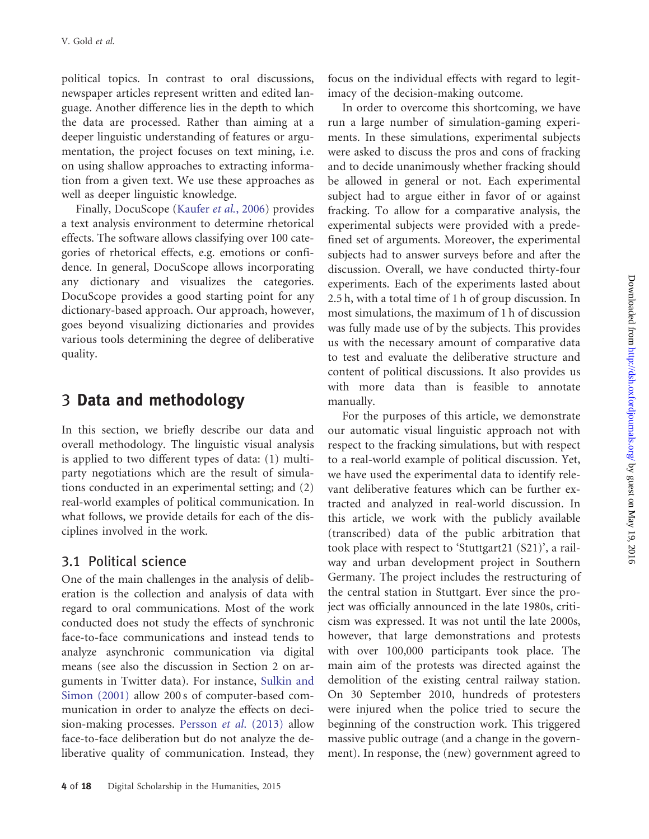political topics. In contrast to oral discussions, newspaper articles represent written and edited language. Another difference lies in the depth to which the data are processed. Rather than aiming at a deeper linguistic understanding of features or argumentation, the project focuses on text mining, i.e. on using shallow approaches to extracting information from a given text. We use these approaches as well as deeper linguistic knowledge.

Finally, DocuScope ([Kaufer](#page-16-0) et al., 2006) provides a text analysis environment to determine rhetorical effects. The software allows classifying over 100 categories of rhetorical effects, e.g. emotions or confidence. In general, DocuScope allows incorporating any dictionary and visualizes the categories. DocuScope provides a good starting point for any dictionary-based approach. Our approach, however, goes beyond visualizing dictionaries and provides various tools determining the degree of deliberative quality.

# 3 Data and methodology

In this section, we briefly describe our data and overall methodology. The linguistic visual analysis is applied to two different types of data: (1) multiparty negotiations which are the result of simulations conducted in an experimental setting; and (2) real-world examples of political communication. In what follows, we provide details for each of the disciplines involved in the work.

## 3.1 Political science

One of the main challenges in the analysis of deliberation is the collection and analysis of data with regard to oral communications. Most of the work conducted does not study the effects of synchronic face-to-face communications and instead tends to analyze asynchronic communication via digital means (see also the discussion in Section 2 on arguments in Twitter data). For instance, [Sulkin and](#page-17-0) [Simon \(2001\)](#page-17-0) allow 200 s of computer-based communication in order to analyze the effects on decision-making processes. Persson et al[. \(2013\)](#page-16-0) allow face-to-face deliberation but do not analyze the deliberative quality of communication. Instead, they focus on the individual effects with regard to legitimacy of the decision-making outcome.

In order to overcome this shortcoming, we have run a large number of simulation-gaming experiments. In these simulations, experimental subjects were asked to discuss the pros and cons of fracking and to decide unanimously whether fracking should be allowed in general or not. Each experimental subject had to argue either in favor of or against fracking. To allow for a comparative analysis, the experimental subjects were provided with a predefined set of arguments. Moreover, the experimental subjects had to answer surveys before and after the discussion. Overall, we have conducted thirty-four experiments. Each of the experiments lasted about 2.5 h, with a total time of 1 h of group discussion. In most simulations, the maximum of 1 h of discussion was fully made use of by the subjects. This provides us with the necessary amount of comparative data to test and evaluate the deliberative structure and content of political discussions. It also provides us with more data than is feasible to annotate manually.

For the purposes of this article, we demonstrate our automatic visual linguistic approach not with respect to the fracking simulations, but with respect to a real-world example of political discussion. Yet, we have used the experimental data to identify relevant deliberative features which can be further extracted and analyzed in real-world discussion. In this article, we work with the publicly available (transcribed) data of the public arbitration that took place with respect to 'Stuttgart21 (S21)', a railway and urban development project in Southern Germany. The project includes the restructuring of the central station in Stuttgart. Ever since the project was officially announced in the late 1980s, criticism was expressed. It was not until the late 2000s, however, that large demonstrations and protests with over 100,000 participants took place. The main aim of the protests was directed against the demolition of the existing central railway station. On 30 September 2010, hundreds of protesters were injured when the police tried to secure the beginning of the construction work. This triggered massive public outrage (and a change in the government). In response, the (new) government agreed to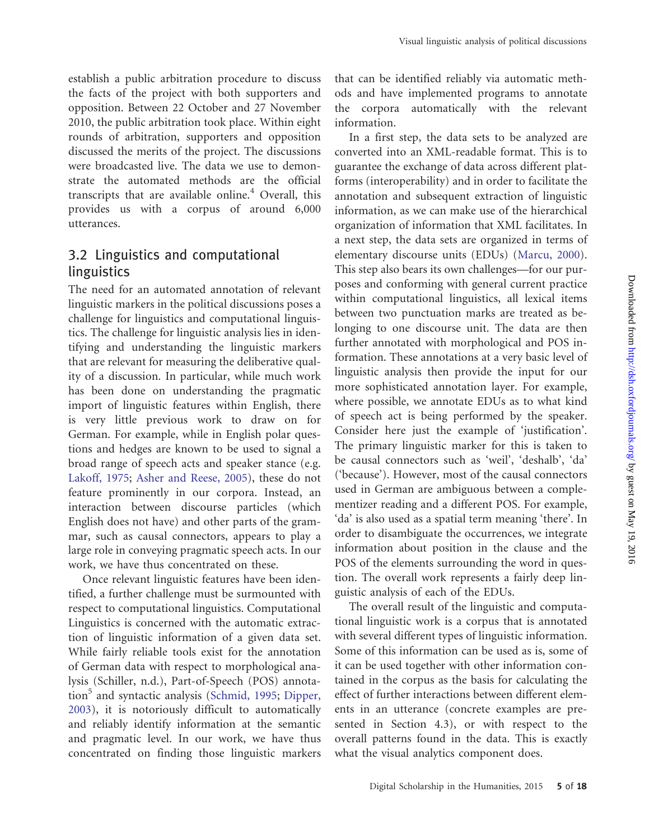establish a public arbitration procedure to discuss the facts of the project with both supporters and opposition. Between 22 October and 27 November 2010, the public arbitration took place. Within eight rounds of arbitration, supporters and opposition discussed the merits of the project. The discussions were broadcasted live. The data we use to demonstrate the automated methods are the official transcripts that are available online.<sup>4</sup> Overall, this provides us with a corpus of around 6,000 utterances.

## 3.2 Linguistics and computational linguistics

The need for an automated annotation of relevant linguistic markers in the political discussions poses a challenge for linguistics and computational linguistics. The challenge for linguistic analysis lies in identifying and understanding the linguistic markers that are relevant for measuring the deliberative quality of a discussion. In particular, while much work has been done on understanding the pragmatic import of linguistic features within English, there is very little previous work to draw on for German. For example, while in English polar questions and hedges are known to be used to signal a broad range of speech acts and speaker stance (e.g. [Lakoff, 1975](#page-16-0); [Asher and Reese, 2005](#page-15-0)), these do not feature prominently in our corpora. Instead, an interaction between discourse particles (which English does not have) and other parts of the grammar, such as causal connectors, appears to play a large role in conveying pragmatic speech acts. In our work, we have thus concentrated on these.

Once relevant linguistic features have been identified, a further challenge must be surmounted with respect to computational linguistics. Computational Linguistics is concerned with the automatic extraction of linguistic information of a given data set. While fairly reliable tools exist for the annotation of German data with respect to morphological analysis (Schiller, n.d.), Part-of-Speech (POS) annota- $\{\tanh^5$  and syntactic analysis ([Schmid, 1995](#page-17-0); [Dipper,](#page-15-0) [2003\)](#page-15-0), it is notoriously difficult to automatically and reliably identify information at the semantic and pragmatic level. In our work, we have thus concentrated on finding those linguistic markers

that can be identified reliably via automatic methods and have implemented programs to annotate the corpora automatically with the relevant information.

In a first step, the data sets to be analyzed are converted into an XML-readable format. This is to guarantee the exchange of data across different platforms (interoperability) and in order to facilitate the annotation and subsequent extraction of linguistic information, as we can make use of the hierarchical organization of information that XML facilitates. In a next step, the data sets are organized in terms of elementary discourse units (EDUs) ([Marcu, 2000](#page-16-0)). This step also bears its own challenges—for our purposes and conforming with general current practice within computational linguistics, all lexical items between two punctuation marks are treated as belonging to one discourse unit. The data are then further annotated with morphological and POS information. These annotations at a very basic level of linguistic analysis then provide the input for our more sophisticated annotation layer. For example, where possible, we annotate EDUs as to what kind of speech act is being performed by the speaker. Consider here just the example of 'justification'. The primary linguistic marker for this is taken to be causal connectors such as 'weil', 'deshalb', 'da' ('because'). However, most of the causal connectors used in German are ambiguous between a complementizer reading and a different POS. For example, 'da' is also used as a spatial term meaning 'there'. In order to disambiguate the occurrences, we integrate information about position in the clause and the POS of the elements surrounding the word in question. The overall work represents a fairly deep linguistic analysis of each of the EDUs.

The overall result of the linguistic and computational linguistic work is a corpus that is annotated with several different types of linguistic information. Some of this information can be used as is, some of it can be used together with other information contained in the corpus as the basis for calculating the effect of further interactions between different elements in an utterance (concrete examples are presented in Section 4.3), or with respect to the overall patterns found in the data. This is exactly what the visual analytics component does.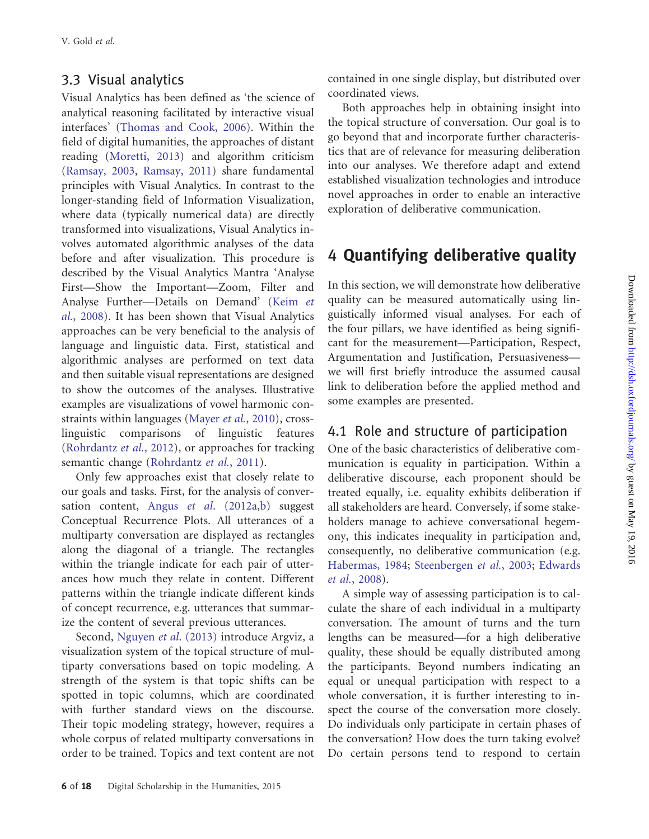## 3.3 Visual analytics

Visual Analytics has been defined as 'the science of analytical reasoning facilitated by interactive visual interfaces' ([Thomas and Cook, 2006](#page-17-0)). Within the field of digital humanities, the approaches of distant reading ([Moretti, 2013](#page-16-0)) and algorithm criticism ([Ramsay, 2003,](#page-16-0) [Ramsay, 2011\)](#page-16-0) share fundamental principles with Visual Analytics. In contrast to the longer-standing field of Information Visualization, where data (typically numerical data) are directly transformed into visualizations, Visual Analytics involves automated algorithmic analyses of the data before and after visualization. This procedure is described by the Visual Analytics Mantra 'Analyse First—Show the Important—Zoom, Filter and Analyse Further—Details on Demand' [\(Keim](#page-16-0) et al.[, 2008\)](#page-16-0). It has been shown that Visual Analytics approaches can be very beneficial to the analysis of language and linguistic data. First, statistical and algorithmic analyses are performed on text data and then suitable visual representations are designed to show the outcomes of the analyses. Illustrative examples are visualizations of vowel harmonic constraints within languages ([Mayer](#page-16-0) et al., 2010), crosslinguistic comparisons of linguistic features ([Rohrdantz](#page-16-0) et al., 2012), or approaches for tracking semantic change ([Rohrdantz](#page-16-0) et al., 2011).

Only few approaches exist that closely relate to our goals and tasks. First, for the analysis of conversation content, Angus et al[. \(2012a](#page-15-0),[b\)](#page-15-0) suggest Conceptual Recurrence Plots. All utterances of a multiparty conversation are displayed as rectangles along the diagonal of a triangle. The rectangles within the triangle indicate for each pair of utterances how much they relate in content. Different patterns within the triangle indicate different kinds of concept recurrence, e.g. utterances that summarize the content of several previous utterances.

Second, Nguyen et al[. \(2013\)](#page-16-0) introduce Argviz, a visualization system of the topical structure of multiparty conversations based on topic modeling. A strength of the system is that topic shifts can be spotted in topic columns, which are coordinated with further standard views on the discourse. Their topic modeling strategy, however, requires a whole corpus of related multiparty conversations in order to be trained. Topics and text content are not

6 of 18 Digital Scholarship in the Humanities, 2015

contained in one single display, but distributed over coordinated views.

Both approaches help in obtaining insight into the topical structure of conversation. Our goal is to go beyond that and incorporate further characteristics that are of relevance for measuring deliberation into our analyses. We therefore adapt and extend established visualization technologies and introduce novel approaches in order to enable an interactive exploration of deliberative communication.

# 4 Quantifying deliberative quality

In this section, we will demonstrate how deliberative quality can be measured automatically using linguistically informed visual analyses. For each of the four pillars, we have identified as being significant for the measurement—Participation, Respect, Argumentation and Justification, Persuasiveness we will first briefly introduce the assumed causal link to deliberation before the applied method and some examples are presented.

## 4.1 Role and structure of participation

One of the basic characteristics of deliberative communication is equality in participation. Within a deliberative discourse, each proponent should be treated equally, i.e. equality exhibits deliberation if all stakeholders are heard. Conversely, if some stakeholders manage to achieve conversational hegemony, this indicates inequality in participation and, consequently, no deliberative communication (e.g. [Habermas, 1984](#page-16-0); [Steenbergen](#page-17-0) et al., 2003; [Edwards](#page-15-0) et al.[, 2008\)](#page-15-0).

A simple way of assessing participation is to calculate the share of each individual in a multiparty conversation. The amount of turns and the turn lengths can be measured—for a high deliberative quality, these should be equally distributed among the participants. Beyond numbers indicating an equal or unequal participation with respect to a whole conversation, it is further interesting to inspect the course of the conversation more closely. Do individuals only participate in certain phases of the conversation? How does the turn taking evolve? Do certain persons tend to respond to certain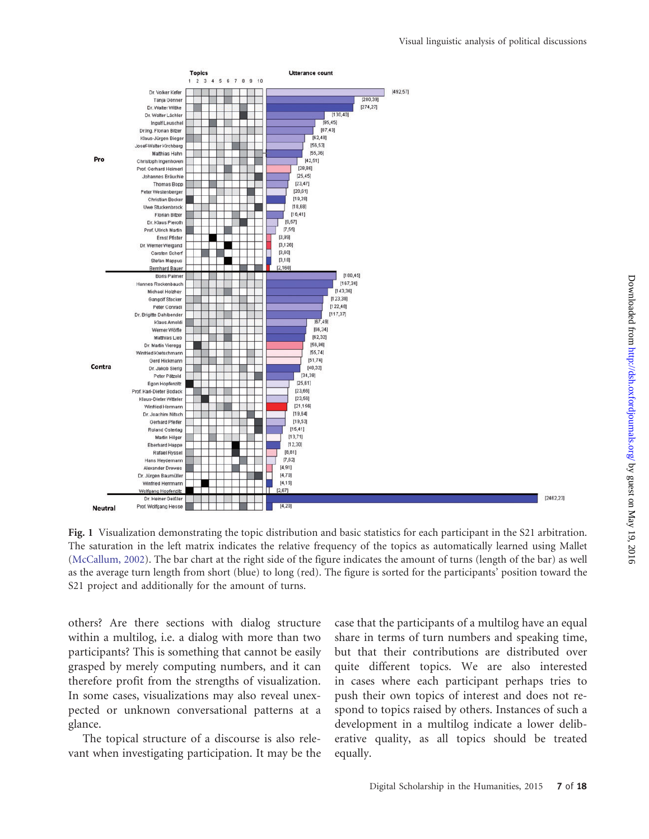<span id="page-6-0"></span>

Fig. 1 Visualization demonstrating the topic distribution and basic statistics for each participant in the S21 arbitration. The saturation in the left matrix indicates the relative frequency of the topics as automatically learned using Mallet [\(McCallum, 2002](#page-16-0)). The bar chart at the right side of the figure indicates the amount of turns (length of the bar) as well as the average turn length from short (blue) to long (red). The figure is sorted for the participants' position toward the S21 project and additionally for the amount of turns.

others? Are there sections with dialog structure within a multilog, i.e. a dialog with more than two participants? This is something that cannot be easily grasped by merely computing numbers, and it can therefore profit from the strengths of visualization. In some cases, visualizations may also reveal unexpected or unknown conversational patterns at a glance.

The topical structure of a discourse is also relevant when investigating participation. It may be the case that the participants of a multilog have an equal share in terms of turn numbers and speaking time, but that their contributions are distributed over quite different topics. We are also interested in cases where each participant perhaps tries to push their own topics of interest and does not respond to topics raised by others. Instances of such a development in a multilog indicate a lower deliberative quality, as all topics should be treated equally.

 $[2462, 23]$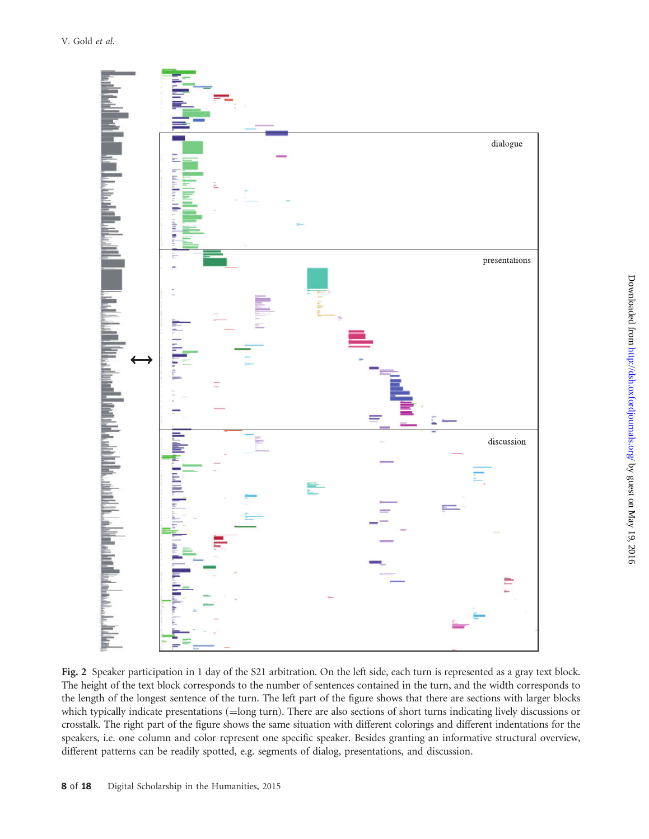<span id="page-7-0"></span>

Fig. 2 Speaker participation in 1 day of the S21 arbitration. On the left side, each turn is represented as a gray text block. The height of the text block corresponds to the number of sentences contained in the turn, and the width corresponds to the length of the longest sentence of the turn. The left part of the figure shows that there are sections with larger blocks which typically indicate presentations (=long turn). There are also sections of short turns indicating lively discussions or crosstalk. The right part of the figure shows the same situation with different colorings and different indentations for the speakers, i.e. one column and color represent one specific speaker. Besides granting an informative structural overview, different patterns can be readily spotted, e.g. segments of dialog, presentations, and discussion.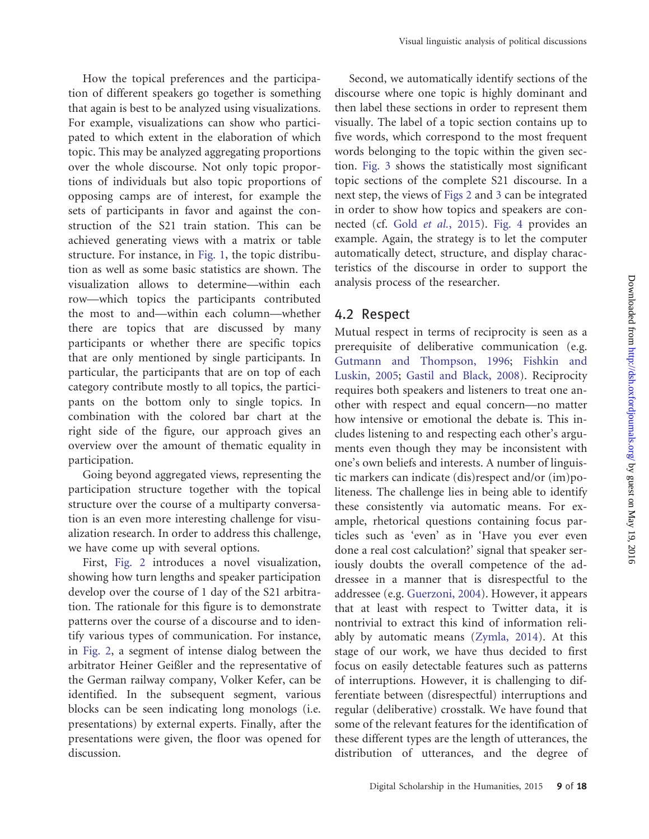How the topical preferences and the participation of different speakers go together is something that again is best to be analyzed using visualizations. For example, visualizations can show who participated to which extent in the elaboration of which topic. This may be analyzed aggregating proportions over the whole discourse. Not only topic proportions of individuals but also topic proportions of opposing camps are of interest, for example the sets of participants in favor and against the construction of the S21 train station. This can be achieved generating views with a matrix or table structure. For instance, in [Fig. 1,](#page-6-0) the topic distribution as well as some basic statistics are shown. The visualization allows to determine—within each row—which topics the participants contributed the most to and—within each column—whether there are topics that are discussed by many participants or whether there are specific topics that are only mentioned by single participants. In particular, the participants that are on top of each category contribute mostly to all topics, the participants on the bottom only to single topics. In combination with the colored bar chart at the right side of the figure, our approach gives an overview over the amount of thematic equality in participation.

Going beyond aggregated views, representing the participation structure together with the topical structure over the course of a multiparty conversation is an even more interesting challenge for visualization research. In order to address this challenge, we have come up with several options.

First, [Fig. 2](#page-7-0) introduces a novel visualization, showing how turn lengths and speaker participation develop over the course of 1 day of the S21 arbitration. The rationale for this figure is to demonstrate patterns over the course of a discourse and to identify various types of communication. For instance, in [Fig. 2](#page-7-0), a segment of intense dialog between the arbitrator Heiner Geißler and the representative of the German railway company, Volker Kefer, can be identified. In the subsequent segment, various blocks can be seen indicating long monologs (i.e. presentations) by external experts. Finally, after the presentations were given, the floor was opened for discussion.

Second, we automatically identify sections of the discourse where one topic is highly dominant and then label these sections in order to represent them visually. The label of a topic section contains up to five words, which correspond to the most frequent words belonging to the topic within the given section. [Fig. 3](#page-9-0) shows the statistically most significant topic sections of the complete S21 discourse. In a next step, the views of [Figs 2](#page-7-0) and [3](#page-9-0) can be integrated in order to show how topics and speakers are connected (cf. Gold et al.[, 2015\)](#page-15-0). [Fig. 4](#page-10-0) provides an example. Again, the strategy is to let the computer automatically detect, structure, and display characteristics of the discourse in order to support the analysis process of the researcher.

#### 4.2 Respect

Mutual respect in terms of reciprocity is seen as a prerequisite of deliberative communication (e.g. [Gutmann and Thompson, 1996](#page-16-0); [Fishkin and](#page-15-0) [Luskin, 2005;](#page-15-0) [Gastil and Black, 2008](#page-15-0)). Reciprocity requires both speakers and listeners to treat one another with respect and equal concern—no matter how intensive or emotional the debate is. This includes listening to and respecting each other's arguments even though they may be inconsistent with one's own beliefs and interests. A number of linguistic markers can indicate (dis)respect and/or (im)politeness. The challenge lies in being able to identify these consistently via automatic means. For example, rhetorical questions containing focus particles such as 'even' as in 'Have you ever even done a real cost calculation?' signal that speaker seriously doubts the overall competence of the addressee in a manner that is disrespectful to the addressee (e.g. [Guerzoni, 2004](#page-15-0)). However, it appears that at least with respect to Twitter data, it is nontrivial to extract this kind of information reliably by automatic means ([Zymla, 2014\)](#page-17-0). At this stage of our work, we have thus decided to first focus on easily detectable features such as patterns of interruptions. However, it is challenging to differentiate between (disrespectful) interruptions and regular (deliberative) crosstalk. We have found that some of the relevant features for the identification of these different types are the length of utterances, the distribution of utterances, and the degree of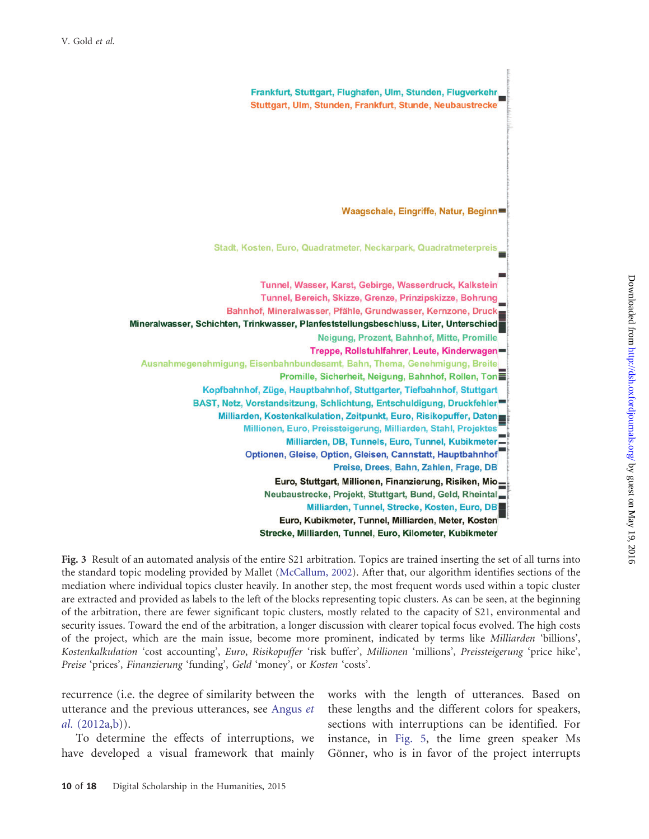<span id="page-9-0"></span>

Fig. 3 Result of an automated analysis of the entire S21 arbitration. Topics are trained inserting the set of all turns into the standard topic modeling provided by Mallet [\(McCallum, 2002](#page-16-0)). After that, our algorithm identifies sections of the mediation where individual topics cluster heavily. In another step, the most frequent words used within a topic cluster are extracted and provided as labels to the left of the blocks representing topic clusters. As can be seen, at the beginning of the arbitration, there are fewer significant topic clusters, mostly related to the capacity of S21, environmental and security issues. Toward the end of the arbitration, a longer discussion with clearer topical focus evolved. The high costs of the project, which are the main issue, become more prominent, indicated by terms like Milliarden 'billions', Kostenkalkulation 'cost accounting', Euro, Risikopuffer 'risk buffer', Millionen 'millions', Preissteigerung 'price hike', Preise 'prices', Finanzierung 'funding', Geld 'money', or Kosten 'costs'.

recurrence (i.e. the degree of similarity between the utterance and the previous utterances, see [Angus](#page-15-0) et al[. \(2012a](#page-15-0),[b\)](#page-15-0)).

To determine the effects of interruptions, we have developed a visual framework that mainly works with the length of utterances. Based on these lengths and the different colors for speakers, sections with interruptions can be identified. For instance, in [Fig. 5,](#page-11-0) the lime green speaker Ms Gönner, who is in favor of the project interrupts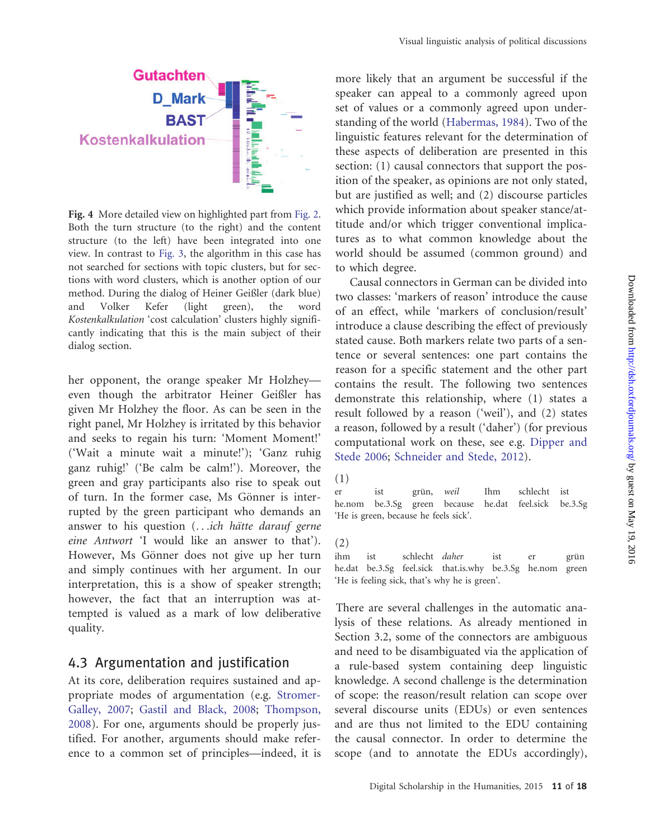<span id="page-10-0"></span>

Fig. 4 More detailed view on highlighted part from [Fig. 2](#page-7-0). Both the turn structure (to the right) and the content structure (to the left) have been integrated into one view. In contrast to [Fig. 3](#page-9-0), the algorithm in this case has not searched for sections with topic clusters, but for sections with word clusters, which is another option of our method. During the dialog of Heiner Geißler (dark blue) and Volker Kefer (light green), the word Kostenkalkulation 'cost calculation' clusters highly significantly indicating that this is the main subject of their dialog section.

her opponent, the orange speaker Mr Holzhey even though the arbitrator Heiner Geißler has given Mr Holzhey the floor. As can be seen in the right panel, Mr Holzhey is irritated by this behavior and seeks to regain his turn: 'Moment Moment!' ('Wait a minute wait a minute!'); 'Ganz ruhig ganz ruhig!' ('Be calm be calm!'). Moreover, the green and gray participants also rise to speak out of turn. In the former case, Ms Gönner is interrupted by the green participant who demands an answer to his question (...*ich hätte darauf gerne* eine Antwort 'I would like an answer to that'). However, Ms Gönner does not give up her turn and simply continues with her argument. In our interpretation, this is a show of speaker strength; however, the fact that an interruption was attempted is valued as a mark of low deliberative quality.

#### 4.3 Argumentation and justification

At its core, deliberation requires sustained and appropriate modes of argumentation (e.g. [Stromer-](#page-17-0)[Galley, 2007](#page-17-0); [Gastil and Black, 2008](#page-15-0); [Thompson,](#page-17-0) [2008\)](#page-17-0). For one, arguments should be properly justified. For another, arguments should make reference to a common set of principles—indeed, it is more likely that an argument be successful if the speaker can appeal to a commonly agreed upon set of values or a commonly agreed upon understanding of the world [\(Habermas, 1984](#page-16-0)). Two of the linguistic features relevant for the determination of these aspects of deliberation are presented in this section: (1) causal connectors that support the position of the speaker, as opinions are not only stated, but are justified as well; and (2) discourse particles which provide information about speaker stance/attitude and/or which trigger conventional implicatures as to what common knowledge about the world should be assumed (common ground) and to which degree.

Causal connectors in German can be divided into two classes: 'markers of reason' introduce the cause of an effect, while 'markers of conclusion/result' introduce a clause describing the effect of previously stated cause. Both markers relate two parts of a sentence or several sentences: one part contains the reason for a specific statement and the other part contains the result. The following two sentences demonstrate this relationship, where (1) states a result followed by a reason ('weil'), and (2) states a reason, followed by a result ('daher') (for previous computational work on these, see e.g. [Dipper and](#page-15-0) [Stede 2006;](#page-15-0) [Schneider and Stede, 2012\)](#page-17-0).

#### (1)

ist grün, weil Ihm schlecht ist he.nom be.3.Sg green because he.dat feel.sick be.3.Sg 'He is green, because he feels sick'.

#### (2)

ihm ist schlecht daher ist er grün he.dat be.3.Sg feel.sick that.is.why be.3.Sg he.nom green 'He is feeling sick, that's why he is green'.

There are several challenges in the automatic analysis of these relations. As already mentioned in Section 3.2, some of the connectors are ambiguous and need to be disambiguated via the application of a rule-based system containing deep linguistic knowledge. A second challenge is the determination of scope: the reason/result relation can scope over several discourse units (EDUs) or even sentences and are thus not limited to the EDU containing the causal connector. In order to determine the scope (and to annotate the EDUs accordingly),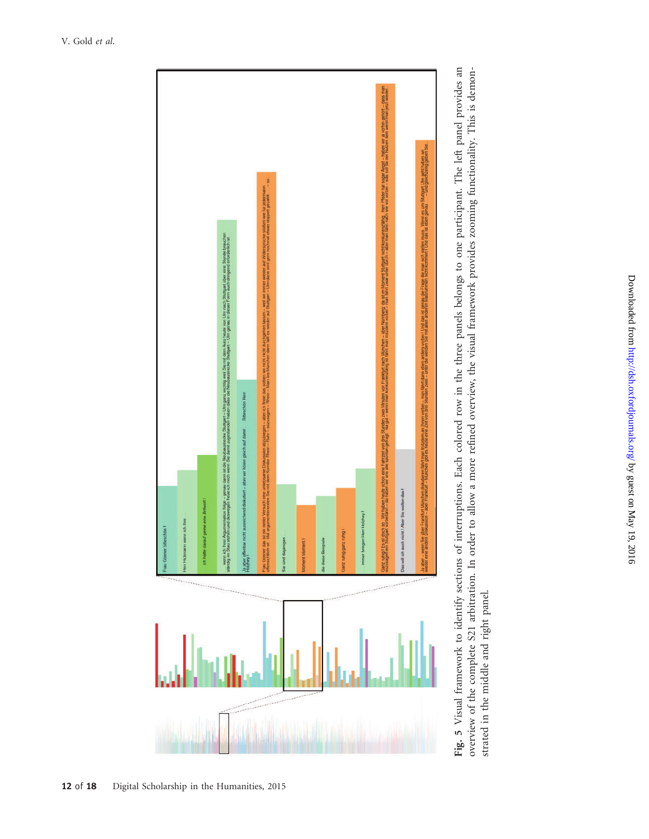<span id="page-11-0"></span>

Fig. 5 Visual framework to identify sections of interruptions. Each colored row in the three panels belongs to one participant. The left panel provides an overview of the complete S21 arbitration. In order to allow a more refined overview, the visual framework provides zooming functionality. This is demon-Fig. 5 Visual framework to identify sections of interruptions. Each colored row in the three panels belongs to one participant. The left panel provides an overview of the complete S21 arbitration. In order to allow a more refined overview, the visual framework provides zooming functionality. This is demonstrated in the middle and right panel. strated in the middle and right panel.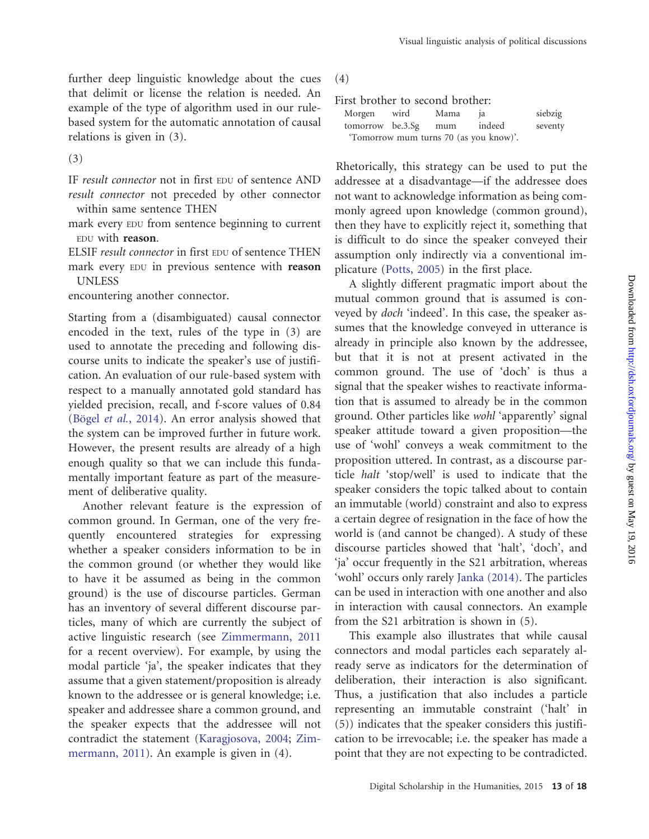further deep linguistic knowledge about the cues that delimit or license the relation is needed. An example of the type of algorithm used in our rulebased system for the automatic annotation of causal relations is given in (3).

(3)

IF result connector not in first EDU of sentence AND result connector not preceded by other connector within same sentence THEN

ELSIF result connector in first EDU of sentence THEN mark every EDU in previous sentence with reason UNLESS

encountering another connector.

Starting from a (disambiguated) causal connector encoded in the text, rules of the type in (3) are used to annotate the preceding and following discourse units to indicate the speaker's use of justification. An evaluation of our rule-based system with respect to a manually annotated gold standard has yielded precision, recall, and f-score values of 0.84 (Bögel et al.[, 2014](#page-15-0)). An error analysis showed that the system can be improved further in future work. However, the present results are already of a high enough quality so that we can include this fundamentally important feature as part of the measurement of deliberative quality.

Another relevant feature is the expression of common ground. In German, one of the very frequently encountered strategies for expressing whether a speaker considers information to be in the common ground (or whether they would like to have it be assumed as being in the common ground) is the use of discourse particles. German has an inventory of several different discourse particles, many of which are currently the subject of active linguistic research (see [Zimmermann, 2011](#page-17-0) for a recent overview). For example, by using the modal particle 'ja', the speaker indicates that they assume that a given statement/proposition is already known to the addressee or is general knowledge; i.e. speaker and addressee share a common ground, and the speaker expects that the addressee will not contradict the statement [\(Karagjosova, 2004;](#page-16-0) [Zim](#page-17-0)[mermann, 2011\)](#page-17-0). An example is given in (4).

First brother to second brother:

| Morgen                                 | wird | Mama | ia     | siebzig |  |
|----------------------------------------|------|------|--------|---------|--|
| tomorrow be.3.Sg                       |      | mum  | indeed | seventy |  |
| 'Tomorrow mum turns 70 (as you know)'. |      |      |        |         |  |

Rhetorically, this strategy can be used to put the addressee at a disadvantage—if the addressee does not want to acknowledge information as being commonly agreed upon knowledge (common ground), then they have to explicitly reject it, something that is difficult to do since the speaker conveyed their assumption only indirectly via a conventional implicature [\(Potts, 2005](#page-16-0)) in the first place.

A slightly different pragmatic import about the mutual common ground that is assumed is conveyed by doch 'indeed'. In this case, the speaker assumes that the knowledge conveyed in utterance is already in principle also known by the addressee, but that it is not at present activated in the common ground. The use of 'doch' is thus a signal that the speaker wishes to reactivate information that is assumed to already be in the common ground. Other particles like wohl 'apparently' signal speaker attitude toward a given proposition—the use of 'wohl' conveys a weak commitment to the proposition uttered. In contrast, as a discourse particle halt 'stop/well' is used to indicate that the speaker considers the topic talked about to contain an immutable (world) constraint and also to express a certain degree of resignation in the face of how the world is (and cannot be changed). A study of these discourse particles showed that 'halt', 'doch', and 'ja' occur frequently in the S21 arbitration, whereas 'wohl' occurs only rarely [Janka \(2014\).](#page-16-0) The particles can be used in interaction with one another and also in interaction with causal connectors. An example from the S21 arbitration is shown in (5).

This example also illustrates that while causal connectors and modal particles each separately already serve as indicators for the determination of deliberation, their interaction is also significant. Thus, a justification that also includes a particle representing an immutable constraint ('halt' in (5)) indicates that the speaker considers this justification to be irrevocable; i.e. the speaker has made a point that they are not expecting to be contradicted.

mark every EDU from sentence beginning to current EDU with reason.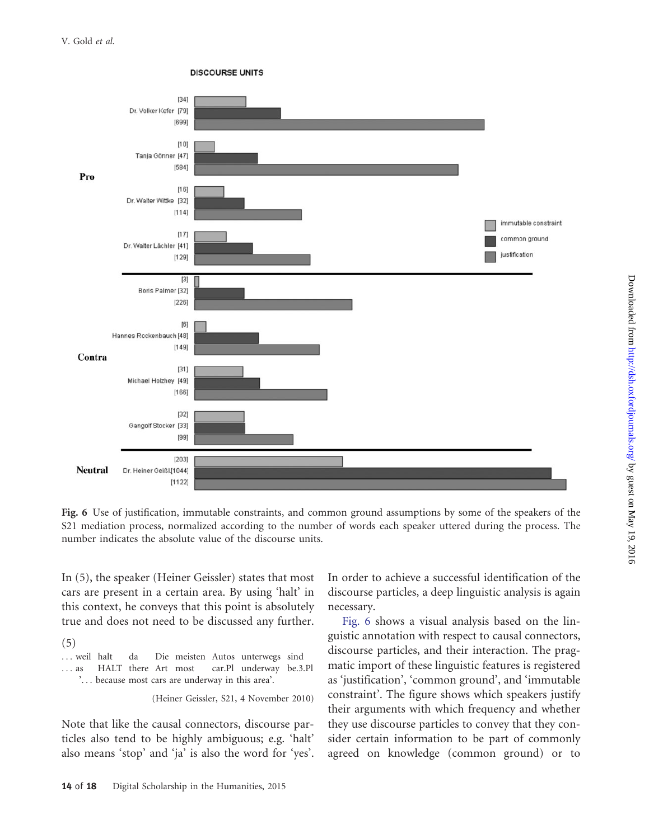<span id="page-13-0"></span>

Fig. 6 Use of justification, immutable constraints, and common ground assumptions by some of the speakers of the S21 mediation process, normalized according to the number of words each speaker uttered during the process. The number indicates the absolute value of the discourse units.

In (5), the speaker (Heiner Geissler) states that most cars are present in a certain area. By using 'halt' in this context, he conveys that this point is absolutely true and does not need to be discussed any further.

(5)

... weil halt da Die meisten Autos unterwegs sind ... as HALT there Art most car.Pl underway be.3.Pl '... because most cars are underway in this area'.

(Heiner Geissler, S21, 4 November 2010)

Note that like the causal connectors, discourse particles also tend to be highly ambiguous; e.g. 'halt' also means 'stop' and 'ja' is also the word for 'yes'. In order to achieve a successful identification of the discourse particles, a deep linguistic analysis is again necessary.

Fig. 6 shows a visual analysis based on the linguistic annotation with respect to causal connectors, discourse particles, and their interaction. The pragmatic import of these linguistic features is registered as 'justification', 'common ground', and 'immutable constraint'. The figure shows which speakers justify their arguments with which frequency and whether they use discourse particles to convey that they consider certain information to be part of commonly agreed on knowledge (common ground) or to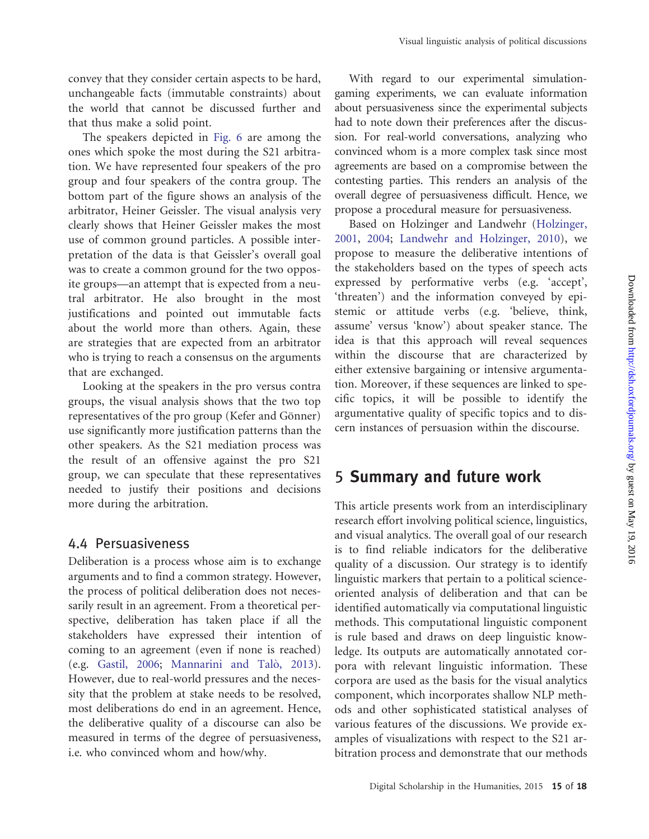convey that they consider certain aspects to be hard, unchangeable facts (immutable constraints) about the world that cannot be discussed further and that thus make a solid point.

The speakers depicted in [Fig. 6](#page-13-0) are among the ones which spoke the most during the S21 arbitration. We have represented four speakers of the pro group and four speakers of the contra group. The bottom part of the figure shows an analysis of the arbitrator, Heiner Geissler. The visual analysis very clearly shows that Heiner Geissler makes the most use of common ground particles. A possible interpretation of the data is that Geissler's overall goal was to create a common ground for the two opposite groups—an attempt that is expected from a neutral arbitrator. He also brought in the most justifications and pointed out immutable facts about the world more than others. Again, these are strategies that are expected from an arbitrator who is trying to reach a consensus on the arguments that are exchanged.

Looking at the speakers in the pro versus contra groups, the visual analysis shows that the two top representatives of the pro group (Kefer and Gönner) use significantly more justification patterns than the other speakers. As the S21 mediation process was the result of an offensive against the pro S21 group, we can speculate that these representatives needed to justify their positions and decisions more during the arbitration.

#### 4.4 Persuasiveness

Deliberation is a process whose aim is to exchange arguments and to find a common strategy. However, the process of political deliberation does not necessarily result in an agreement. From a theoretical perspective, deliberation has taken place if all the stakeholders have expressed their intention of coming to an agreement (even if none is reached) (e.g. [Gastil, 2006](#page-15-0); Mannarini and Talò, 2013). However, due to real-world pressures and the necessity that the problem at stake needs to be resolved, most deliberations do end in an agreement. Hence, the deliberative quality of a discourse can also be measured in terms of the degree of persuasiveness, i.e. who convinced whom and how/why.

With regard to our experimental simulationgaming experiments, we can evaluate information about persuasiveness since the experimental subjects had to note down their preferences after the discussion. For real-world conversations, analyzing who convinced whom is a more complex task since most agreements are based on a compromise between the contesting parties. This renders an analysis of the overall degree of persuasiveness difficult. Hence, we propose a procedural measure for persuasiveness.

Based on Holzinger and Landwehr [\(Holzinger,](#page-16-0) [2001,](#page-16-0) [2004;](#page-16-0) [Landwehr and Holzinger, 2010\)](#page-16-0), we propose to measure the deliberative intentions of the stakeholders based on the types of speech acts expressed by performative verbs (e.g. 'accept', 'threaten') and the information conveyed by epistemic or attitude verbs (e.g. 'believe, think, assume' versus 'know') about speaker stance. The idea is that this approach will reveal sequences within the discourse that are characterized by either extensive bargaining or intensive argumentation. Moreover, if these sequences are linked to specific topics, it will be possible to identify the argumentative quality of specific topics and to discern instances of persuasion within the discourse.

## 5 Summary and future work

This article presents work from an interdisciplinary research effort involving political science, linguistics, and visual analytics. The overall goal of our research is to find reliable indicators for the deliberative quality of a discussion. Our strategy is to identify linguistic markers that pertain to a political scienceoriented analysis of deliberation and that can be identified automatically via computational linguistic methods. This computational linguistic component is rule based and draws on deep linguistic knowledge. Its outputs are automatically annotated corpora with relevant linguistic information. These corpora are used as the basis for the visual analytics component, which incorporates shallow NLP methods and other sophisticated statistical analyses of various features of the discussions. We provide examples of visualizations with respect to the S21 arbitration process and demonstrate that our methods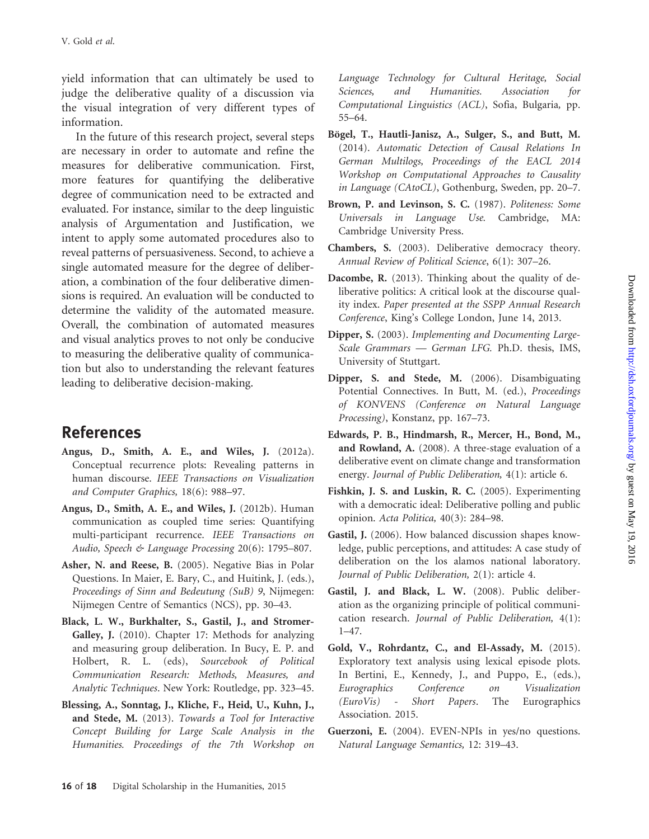<span id="page-15-0"></span>yield information that can ultimately be used to judge the deliberative quality of a discussion via the visual integration of very different types of information.

In the future of this research project, several steps are necessary in order to automate and refine the measures for deliberative communication. First, more features for quantifying the deliberative degree of communication need to be extracted and evaluated. For instance, similar to the deep linguistic analysis of Argumentation and Justification, we intent to apply some automated procedures also to reveal patterns of persuasiveness. Second, to achieve a single automated measure for the degree of deliberation, a combination of the four deliberative dimensions is required. An evaluation will be conducted to determine the validity of the automated measure. Overall, the combination of automated measures and visual analytics proves to not only be conducive to measuring the deliberative quality of communication but also to understanding the relevant features leading to deliberative decision-making.

## References

- Angus, D., Smith, A. E., and Wiles, J. (2012a). Conceptual recurrence plots: Revealing patterns in human discourse. IEEE Transactions on Visualization and Computer Graphics, 18(6): 988–97.
- Angus, D., Smith, A. E., and Wiles, J. (2012b). Human communication as coupled time series: Quantifying multi-participant recurrence. IEEE Transactions on Audio, Speech & Language Processing 20(6): 1795–807.
- Asher, N. and Reese, B. (2005). Negative Bias in Polar Questions. In Maier, E. Bary, C., and Huitink, J. (eds.), Proceedings of Sinn and Bedeutung (SuB) 9, Nijmegen: Nijmegen Centre of Semantics (NCS), pp. 30–43.
- Black, L. W., Burkhalter, S., Gastil, J., and Stromer-Galley, J. (2010). Chapter 17: Methods for analyzing and measuring group deliberation. In Bucy, E. P. and Holbert, R. L. (eds), Sourcebook of Political Communication Research: Methods, Measures, and Analytic Techniques. New York: Routledge, pp. 323–45.
- Blessing, A., Sonntag, J., Kliche, F., Heid, U., Kuhn, J., and Stede, M. (2013). Towards a Tool for Interactive Concept Building for Large Scale Analysis in the Humanities. Proceedings of the 7th Workshop on

Language Technology for Cultural Heritage, Social Sciences, and Humanities. Association for Computational Linguistics (ACL), Sofia, Bulgaria, pp. 55–64.

- Bögel, T., Hautli-Janisz, A., Sulger, S., and Butt, M. (2014). Automatic Detection of Causal Relations In German Multilogs, Proceedings of the EACL 2014 Workshop on Computational Approaches to Causality in Language (CAtoCL), Gothenburg, Sweden, pp. 20–7.
- Brown, P. and Levinson, S. C. (1987). Politeness: Some Universals in Language Use. Cambridge, MA: Cambridge University Press.
- Chambers, S. (2003). Deliberative democracy theory. Annual Review of Political Science, 6(1): 307–26.
- Dacombe, R. (2013). Thinking about the quality of deliberative politics: A critical look at the discourse quality index. Paper presented at the SSPP Annual Research Conference, King's College London, June 14, 2013.
- Dipper, S. (2003). Implementing and Documenting Large-Scale Grammars — German LFG. Ph.D. thesis, IMS, University of Stuttgart.
- Dipper, S. and Stede, M. (2006). Disambiguating Potential Connectives. In Butt, M. (ed.), Proceedings of KONVENS (Conference on Natural Language Processing), Konstanz, pp. 167–73.
- Edwards, P. B., Hindmarsh, R., Mercer, H., Bond, M., and Rowland, A. (2008). A three-stage evaluation of a deliberative event on climate change and transformation energy. Journal of Public Deliberation, 4(1): article 6.
- Fishkin, J. S. and Luskin, R. C. (2005). Experimenting with a democratic ideal: Deliberative polling and public opinion. Acta Politica, 40(3): 284–98.
- Gastil, J. (2006). How balanced discussion shapes knowledge, public perceptions, and attitudes: A case study of deliberation on the los alamos national laboratory. Journal of Public Deliberation, 2(1): article 4.
- Gastil, J. and Black, L. W. (2008). Public deliberation as the organizing principle of political communication research. Journal of Public Deliberation, 4(1): 1–47.
- Gold, V., Rohrdantz, C., and El-Assady, M. (2015). Exploratory text analysis using lexical episode plots. In Bertini, E., Kennedy, J., and Puppo, E., (eds.), Eurographics Conference on Visualization (EuroVis) - Short Papers. The Eurographics Association. 2015.
- Guerzoni, E. (2004). EVEN-NPIs in yes/no questions. Natural Language Semantics, 12: 319–43.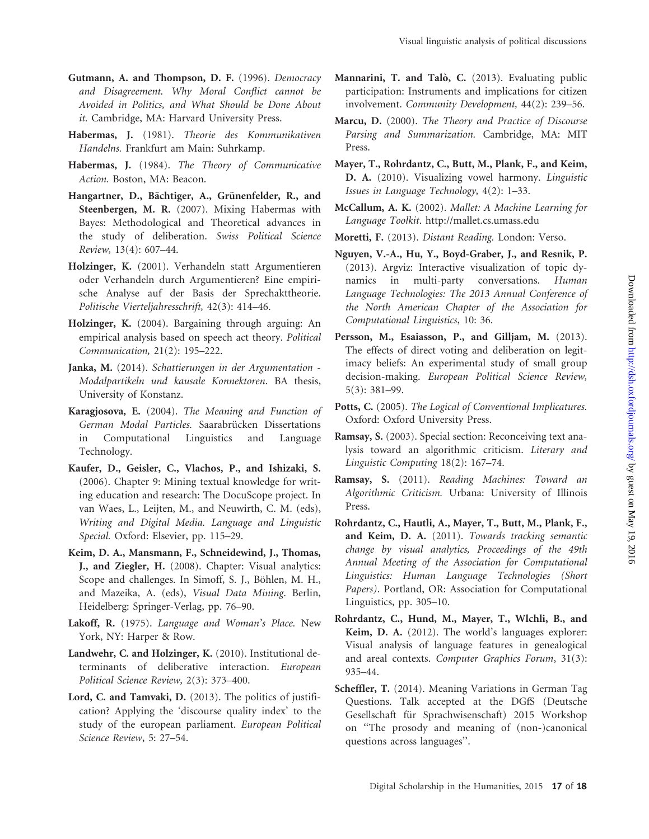- <span id="page-16-0"></span>Gutmann, A. and Thompson, D. F. (1996). Democracy and Disagreement. Why Moral Conflict cannot be Avoided in Politics, and What Should be Done About it. Cambridge, MA: Harvard University Press.
- Habermas, J. (1981). Theorie des Kommunikativen Handelns. Frankfurt am Main: Suhrkamp.
- Habermas, J. (1984). The Theory of Communicative Action. Boston, MA: Beacon.
- Hangartner, D., Bächtiger, A., Grünenfelder, R., and Steenbergen, M. R. (2007). Mixing Habermas with Bayes: Methodological and Theoretical advances in the study of deliberation. Swiss Political Science Review, 13(4): 607–44.
- Holzinger, K. (2001). Verhandeln statt Argumentieren oder Verhandeln durch Argumentieren? Eine empirische Analyse auf der Basis der Sprechakttheorie. Politische Vierteljahresschrift, 42(3): 414–46.
- Holzinger, K. (2004). Bargaining through arguing: An empirical analysis based on speech act theory. Political Communication, 21(2): 195–222.
- Janka, M. (2014). Schattierungen in der Argumentation Modalpartikeln und kausale Konnektoren. BA thesis, University of Konstanz.
- Karagjosova, E. (2004). The Meaning and Function of German Modal Particles. Saarabrücken Dissertations in Computational Linguistics and Language Technology.
- Kaufer, D., Geisler, C., Vlachos, P., and Ishizaki, S. (2006). Chapter 9: Mining textual knowledge for writing education and research: The DocuScope project. In van Waes, L., Leijten, M., and Neuwirth, C. M. (eds), Writing and Digital Media. Language and Linguistic Special. Oxford: Elsevier, pp. 115–29.
- Keim, D. A., Mansmann, F., Schneidewind, J., Thomas, J., and Ziegler, H. (2008). Chapter: Visual analytics: Scope and challenges. In Simoff, S. J., Böhlen, M. H., and Mazeika, A. (eds), Visual Data Mining. Berlin, Heidelberg: Springer-Verlag, pp. 76–90.
- Lakoff, R. (1975). Language and Woman's Place. New York, NY: Harper & Row.
- Landwehr, C. and Holzinger, K. (2010). Institutional determinants of deliberative interaction. European Political Science Review, 2(3): 373–400.
- Lord, C. and Tamvaki, D. (2013). The politics of justification? Applying the 'discourse quality index' to the study of the european parliament. European Political Science Review, 5: 27–54.
- Mannarini, T. and Talò, C. (2013). Evaluating public participation: Instruments and implications for citizen involvement. Community Development, 44(2): 239–56.
- Marcu, D. (2000). The Theory and Practice of Discourse Parsing and Summarization. Cambridge, MA: MIT Press.
- Mayer, T., Rohrdantz, C., Butt, M., Plank, F., and Keim, D. A. (2010). Visualizing vowel harmony. Linguistic Issues in Language Technology, 4(2): 1–33.
- McCallum, A. K. (2002). Mallet: A Machine Learning for Language Toolkit.<http://mallet.cs.umass.edu>
- Moretti, F. (2013). Distant Reading. London: Verso.
- Nguyen, V.-A., Hu, Y., Boyd-Graber, J., and Resnik, P. (2013). Argviz: Interactive visualization of topic dynamics in multi-party conversations. Human Language Technologies: The 2013 Annual Conference of the North American Chapter of the Association for Computational Linguistics, 10: 36.
- Persson, M., Esaiasson, P., and Gilljam, M. (2013). The effects of direct voting and deliberation on legitimacy beliefs: An experimental study of small group decision-making. European Political Science Review, 5(3): 381–99.
- Potts, C. (2005). The Logical of Conventional Implicatures. Oxford: Oxford University Press.
- Ramsay, S. (2003). Special section: Reconceiving text analysis toward an algorithmic criticism. Literary and Linguistic Computing 18(2): 167–74.
- Ramsay, S. (2011). Reading Machines: Toward an Algorithmic Criticism. Urbana: University of Illinois Press.
- Rohrdantz, C., Hautli, A., Mayer, T., Butt, M., Plank, F., and Keim, D. A. (2011). Towards tracking semantic change by visual analytics, Proceedings of the 49th Annual Meeting of the Association for Computational Linguistics: Human Language Technologies (Short Papers). Portland, OR: Association for Computational Linguistics, pp. 305–10.
- Rohrdantz, C., Hund, M., Mayer, T., Wlchli, B., and Keim, D. A. (2012). The world's languages explorer: Visual analysis of language features in genealogical and areal contexts. Computer Graphics Forum, 31(3): 935–44.
- Scheffler, T. (2014). Meaning Variations in German Tag Questions. Talk accepted at the DGfS (Deutsche Gesellschaft für Sprachwisenschaft) 2015 Workshop on ''The prosody and meaning of (non-)canonical questions across languages''.